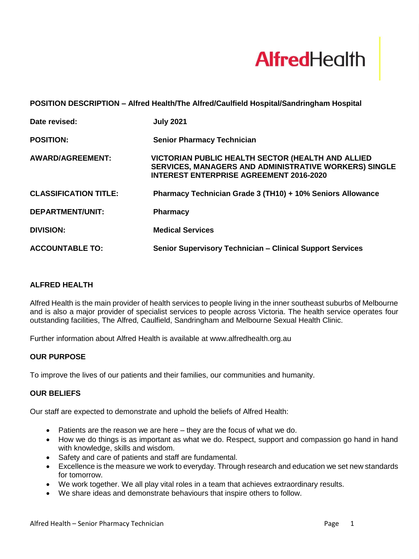

#### **POSITION DESCRIPTION – Alfred Health/The Alfred/Caulfield Hospital/Sandringham Hospital**

| Date revised:                | <b>July 2021</b>                                                                                                                                                    |
|------------------------------|---------------------------------------------------------------------------------------------------------------------------------------------------------------------|
| <b>POSITION:</b>             | <b>Senior Pharmacy Technician</b>                                                                                                                                   |
| <b>AWARD/AGREEMENT:</b>      | VICTORIAN PUBLIC HEALTH SECTOR (HEALTH AND ALLIED<br><b>SERVICES, MANAGERS AND ADMINISTRATIVE WORKERS) SINGLE</b><br><b>INTEREST ENTERPRISE AGREEMENT 2016-2020</b> |
| <b>CLASSIFICATION TITLE:</b> | Pharmacy Technician Grade 3 (TH10) + 10% Seniors Allowance                                                                                                          |
| <b>DEPARTMENT/UNIT:</b>      | <b>Pharmacy</b>                                                                                                                                                     |
| <b>DIVISION:</b>             | <b>Medical Services</b>                                                                                                                                             |
| <b>ACCOUNTABLE TO:</b>       | <b>Senior Supervisory Technician – Clinical Support Services</b>                                                                                                    |

# **ALFRED HEALTH**

Alfred Health is the main provider of health services to people living in the inner southeast suburbs of Melbourne and is also a major provider of specialist services to people across Victoria. The health service operates four outstanding facilities, The Alfred, Caulfield, Sandringham and Melbourne Sexual Health Clinic.

Further information about Alfred Health is available at [www.alfredhealth.org.au](http://www.alfred.org.au/) 

#### **OUR PURPOSE**

To improve the lives of our patients and their families, our communities and humanity.

#### **OUR BELIEFS**

Our staff are expected to demonstrate and uphold the beliefs of Alfred Health:

- Patients are the reason we are here they are the focus of what we do.
- How we do things is as important as what we do. Respect, support and compassion go hand in hand with knowledge, skills and wisdom.
- Safety and care of patients and staff are fundamental.
- Excellence is the measure we work to everyday. Through research and education we set new standards for tomorrow.
- We work together. We all play vital roles in a team that achieves extraordinary results.
- We share ideas and demonstrate behaviours that inspire others to follow.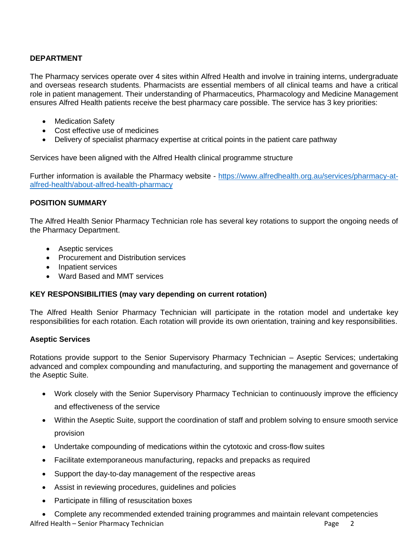# **DEPARTMENT**

The Pharmacy services operate over 4 sites within Alfred Health and involve in training interns, undergraduate and overseas research students. Pharmacists are essential members of all clinical teams and have a critical role in patient management. Their understanding of Pharmaceutics, Pharmacology and Medicine Management ensures Alfred Health patients receive the best pharmacy care possible. The service has 3 key priorities:

- Medication Safety
- Cost effective use of medicines
- Delivery of specialist pharmacy expertise at critical points in the patient care pathway

Services have been aligned with the Alfred Health clinical programme structure

Further information is available the Pharmacy website - [https://www.alfredhealth.org.au/services/pharmacy-at](https://www.alfredhealth.org.au/services/pharmacy-at-alfred-health/about-alfred-health-pharmacy)[alfred-health/about-alfred-health-pharmacy](https://www.alfredhealth.org.au/services/pharmacy-at-alfred-health/about-alfred-health-pharmacy)

#### **POSITION SUMMARY**

The Alfred Health Senior Pharmacy Technician role has several key rotations to support the ongoing needs of the Pharmacy Department.

- Aseptic services
- Procurement and Distribution services
- Inpatient services
- Ward Based and MMT services

#### **KEY RESPONSIBILITIES (may vary depending on current rotation)**

The Alfred Health Senior Pharmacy Technician will participate in the rotation model and undertake key responsibilities for each rotation. Each rotation will provide its own orientation, training and key responsibilities.

#### **Aseptic Services**

Rotations provide support to the Senior Supervisory Pharmacy Technician – Aseptic Services; undertaking advanced and complex compounding and manufacturing, and supporting the management and governance of the Aseptic Suite.

- Work closely with the Senior Supervisory Pharmacy Technician to continuously improve the efficiency and effectiveness of the service
- Within the Aseptic Suite, support the coordination of staff and problem solving to ensure smooth service provision
- Undertake compounding of medications within the cytotoxic and cross-flow suites
- Facilitate extemporaneous manufacturing, repacks and prepacks as required
- Support the day-to-day management of the respective areas
- Assist in reviewing procedures, guidelines and policies
- Participate in filling of resuscitation boxes

Alfred Health – Senior Pharmacy Technician **Page 2** and Page 2 Complete any recommended extended training programmes and maintain relevant competencies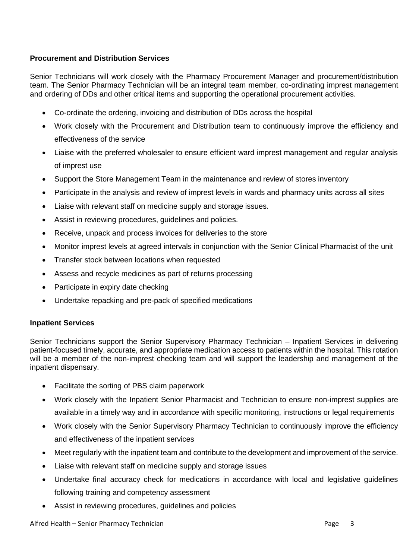# **Procurement and Distribution Services**

Senior Technicians will work closely with the Pharmacy Procurement Manager and procurement/distribution team. The Senior Pharmacy Technician will be an integral team member, co-ordinating imprest management and ordering of DDs and other critical items and supporting the operational procurement activities.

- Co-ordinate the ordering, invoicing and distribution of DDs across the hospital
- Work closely with the Procurement and Distribution team to continuously improve the efficiency and effectiveness of the service
- Liaise with the preferred wholesaler to ensure efficient ward imprest management and regular analysis of imprest use
- Support the Store Management Team in the maintenance and review of stores inventory
- Participate in the analysis and review of imprest levels in wards and pharmacy units across all sites
- Liaise with relevant staff on medicine supply and storage issues.
- Assist in reviewing procedures, guidelines and policies.
- Receive, unpack and process invoices for deliveries to the store
- Monitor imprest levels at agreed intervals in conjunction with the Senior Clinical Pharmacist of the unit
- Transfer stock between locations when requested
- Assess and recycle medicines as part of returns processing
- Participate in expiry date checking
- Undertake repacking and pre-pack of specified medications

# **Inpatient Services**

Senior Technicians support the Senior Supervisory Pharmacy Technician – Inpatient Services in delivering patient-focused timely, accurate, and appropriate medication access to patients within the hospital. This rotation will be a member of the non-imprest checking team and will support the leadership and management of the inpatient dispensary.

- Facilitate the sorting of PBS claim paperwork
- Work closely with the Inpatient Senior Pharmacist and Technician to ensure non-imprest supplies are available in a timely way and in accordance with specific monitoring, instructions or legal requirements
- Work closely with the Senior Supervisory Pharmacy Technician to continuously improve the efficiency and effectiveness of the inpatient services
- Meet regularly with the inpatient team and contribute to the development and improvement of the service.
- Liaise with relevant staff on medicine supply and storage issues
- Undertake final accuracy check for medications in accordance with local and legislative guidelines following training and competency assessment
- Assist in reviewing procedures, guidelines and policies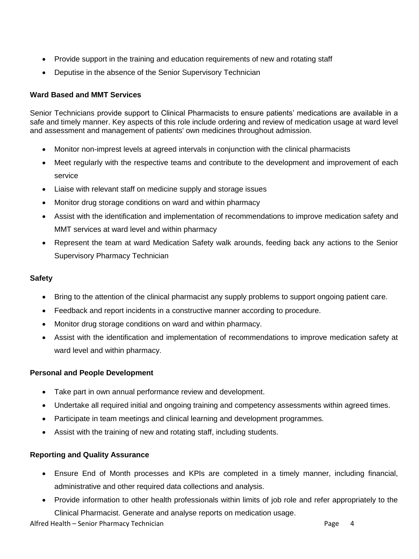- Provide support in the training and education requirements of new and rotating staff
- Deputise in the absence of the Senior Supervisory Technician

# **Ward Based and MMT Services**

Senior Technicians provide support to Clinical Pharmacists to ensure patients' medications are available in a safe and timely manner. Key aspects of this role include ordering and review of medication usage at ward level and assessment and management of patients' own medicines throughout admission.

- Monitor non-imprest levels at agreed intervals in conjunction with the clinical pharmacists
- Meet regularly with the respective teams and contribute to the development and improvement of each service
- Liaise with relevant staff on medicine supply and storage issues
- Monitor drug storage conditions on ward and within pharmacy
- Assist with the identification and implementation of recommendations to improve medication safety and MMT services at ward level and within pharmacy
- Represent the team at ward Medication Safety walk arounds, feeding back any actions to the Senior Supervisory Pharmacy Technician

# **Safety**

- Bring to the attention of the clinical pharmacist any supply problems to support ongoing patient care.
- Feedback and report incidents in a constructive manner according to procedure.
- Monitor drug storage conditions on ward and within pharmacy.
- Assist with the identification and implementation of recommendations to improve medication safety at ward level and within pharmacy.

# **Personal and People Development**

- Take part in own annual performance review and development.
- Undertake all required initial and ongoing training and competency assessments within agreed times.
- Participate in team meetings and clinical learning and development programmes.
- Assist with the training of new and rotating staff, including students.

# **Reporting and Quality Assurance**

- Ensure End of Month processes and KPIs are completed in a timely manner, including financial, administrative and other required data collections and analysis.
- Provide information to other health professionals within limits of job role and refer appropriately to the Clinical Pharmacist. Generate and analyse reports on medication usage.

Alfred Health – Senior Pharmacy Technician **Page 4** and Page 4 and Page 4 and Page 4 and Page 4 and Page 4 and Page 4 and Page 4 and Page 4 and Page 4 and Page 4 and Page 4 and Page 4 and Page 4 and Page 4 and Page 4 and P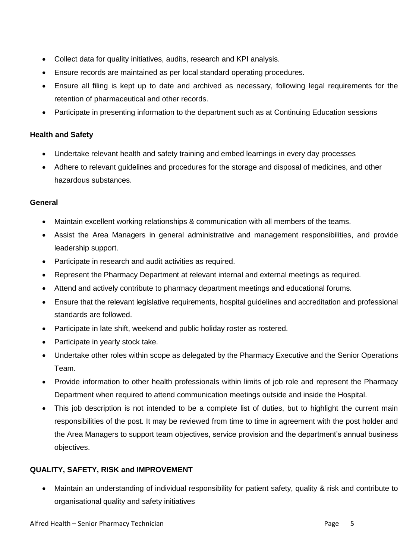- Collect data for quality initiatives, audits, research and KPI analysis.
- Ensure records are maintained as per local standard operating procedures.
- Ensure all filing is kept up to date and archived as necessary, following legal requirements for the retention of pharmaceutical and other records.
- Participate in presenting information to the department such as at Continuing Education sessions

#### **Health and Safety**

- Undertake relevant health and safety training and embed learnings in every day processes
- Adhere to relevant guidelines and procedures for the storage and disposal of medicines, and other hazardous substances.

#### **General**

- Maintain excellent working relationships & communication with all members of the teams.
- Assist the Area Managers in general administrative and management responsibilities, and provide leadership support.
- Participate in research and audit activities as required.
- Represent the Pharmacy Department at relevant internal and external meetings as required.
- Attend and actively contribute to pharmacy department meetings and educational forums.
- Ensure that the relevant legislative requirements, hospital guidelines and accreditation and professional standards are followed.
- Participate in late shift, weekend and public holiday roster as rostered.
- Participate in yearly stock take.
- Undertake other roles within scope as delegated by the Pharmacy Executive and the Senior Operations Team.
- Provide information to other health professionals within limits of job role and represent the Pharmacy Department when required to attend communication meetings outside and inside the Hospital.
- This job description is not intended to be a complete list of duties, but to highlight the current main responsibilities of the post. It may be reviewed from time to time in agreement with the post holder and the Area Managers to support team objectives, service provision and the department's annual business objectives.

# **QUALITY, SAFETY, RISK and IMPROVEMENT**

 Maintain an understanding of individual responsibility for patient safety, quality & risk and contribute to organisational quality and safety initiatives